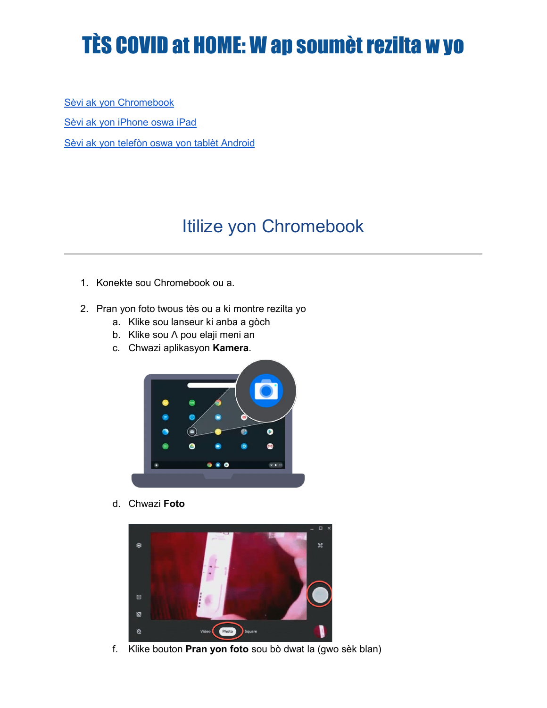# TÈS COVID at HOME: W ap soumèt rezilta w yo

Sèvi ak yon Chromebook Sèvi ak yon iPhone oswa iPad Sèvi ak yon telefòn oswa yon tablèt Android

# Itilize yon Chromebook

- 1. Konekte sou Chromebook ou a.
- 2. Pran yon foto twous tès ou a ki montre rezilta yo
	- a. Klike sou lanseur ki anba a gòch
	- b. Klike sou Λ pou elaji meni an
	- c. Chwazi aplikasyon **Kamera**.



d. Chwazi **Foto**



f. Klike bouton **Pran yon foto** sou bò dwat la (gwo sèk blan)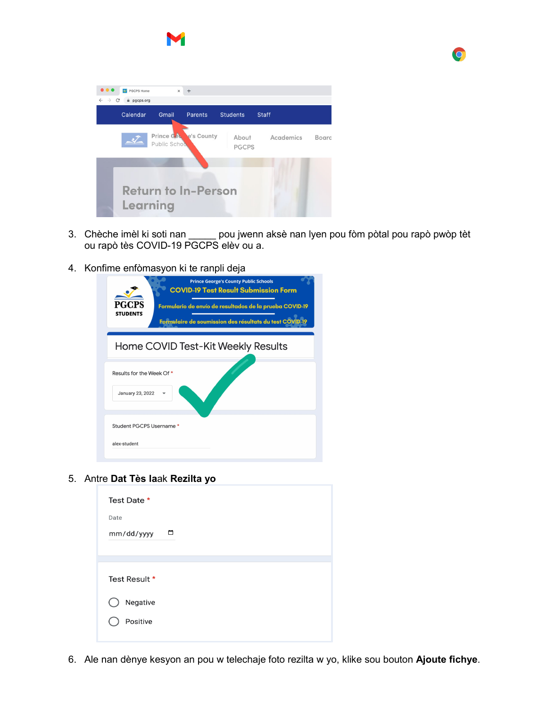



3. Chèche imèl ki soti nan \_\_\_\_\_ pou jwenn aksè nan lyen pou fòm pòtal pou rapò pwòp tèt ou rapò tès COVID-19 PGCPS elèv ou a.

 $\bullet$ 

4. Konfime enfòmasyon ki te ranpli deja

| <b>Prince George's County Public Schools</b><br><b>COVID-19 Test Result Submission Form</b><br>PGCPS<br>Formulario de envío de resultados de la prueba COVID-19<br><b>STUDENTS</b><br>Formulaire de soumission des résultats du test COVID |
|--------------------------------------------------------------------------------------------------------------------------------------------------------------------------------------------------------------------------------------------|
| Home COVID Test-Kit Weekly Results                                                                                                                                                                                                         |
| Results for the Week Of *                                                                                                                                                                                                                  |
| January 23, 2022                                                                                                                                                                                                                           |
| Student PGCPS Username *                                                                                                                                                                                                                   |
| alex-student                                                                                                                                                                                                                               |

5. Antre **Dat Tès la**ak **Rezilta yo**

| Test Date *   |   |
|---------------|---|
| Date          |   |
| mm/dd/yyyy    | ▭ |
|               |   |
|               |   |
| Test Result * |   |
| Negative      |   |
| Positive      |   |
|               |   |

6. Ale nan dènye kesyon an pou w telechaje foto rezilta w yo, klike sou bouton **Ajoute fichye**.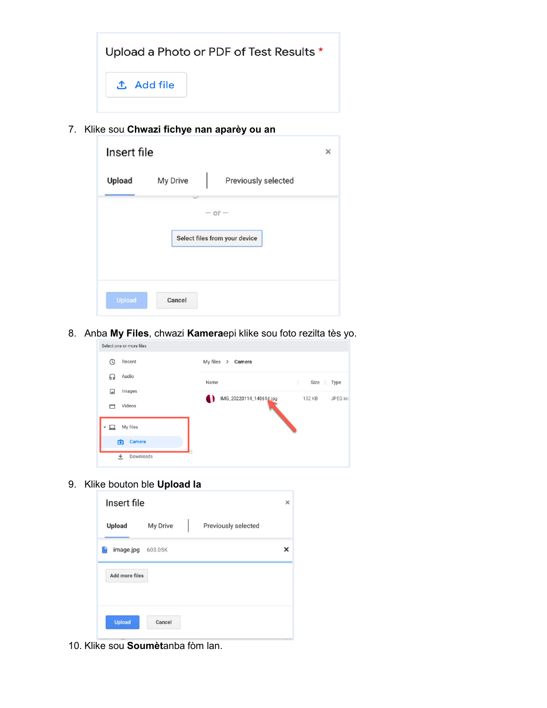|                   | Upload a Photo or PDF of Test Results * |
|-------------------|-----------------------------------------|
| <b>① Add file</b> |                                         |

7. Klike sou **Chwazi fichye nan aparèy ou an**

| Insert file   |          |                                           | × |
|---------------|----------|-------------------------------------------|---|
| <b>Upload</b> | My Drive | Previously selected                       |   |
|               |          | $- or -$<br>Select files from your device |   |
| <b>Upload</b> | Cancel   |                                           |   |

8. Anba **My Files**, chwazi **Kamera**epi klike sou foto rezilta tès yo.

| Select one or more files |                         |                    |
|--------------------------|-------------------------|--------------------|
| Recent<br>ω              | My files > Camera       |                    |
| Audio<br>6 P             | Name                    | 前に<br>Size :: Type |
| Images<br>⊡              | IMG_20220114_140614.jpg | 132 KB<br>JPEG im  |
| Videos<br>۳              |                         |                    |
| My files<br>▾◻           |                         |                    |
| Camera<br>ō              |                         |                    |
| Downloads<br>业           |                         |                    |

9. Klike bouton ble **Upload la**



10. Klike sou **Soumèt**anba fòm lan.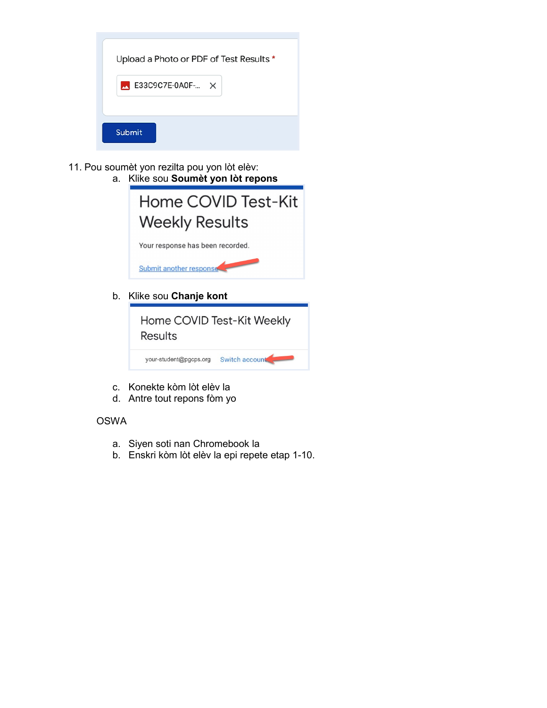| Upload a Photo or PDF of Test Results * |
|-----------------------------------------|
| $\blacksquare$ E33C9C7E-0A0F- $\times$  |
| Submit                                  |

- 11. Pou soumèt yon rezilta pou yon lòt elèv:
	- a. Klike sou **Soumèt yon lòt repons**



b. Klike sou **Chanje kont**

| <b>Results</b>         | Home COVID Test-Kit Weekly |
|------------------------|----------------------------|
| your-student@pgcps.org | Switch account             |

- c. Konekte kòm lòt elèv la
- d. Antre tout repons fòm yo

#### OSWA

- a. Siyen soti nan Chromebook la
- b. Enskri kòm lòt elèv la epi repete etap 1-10.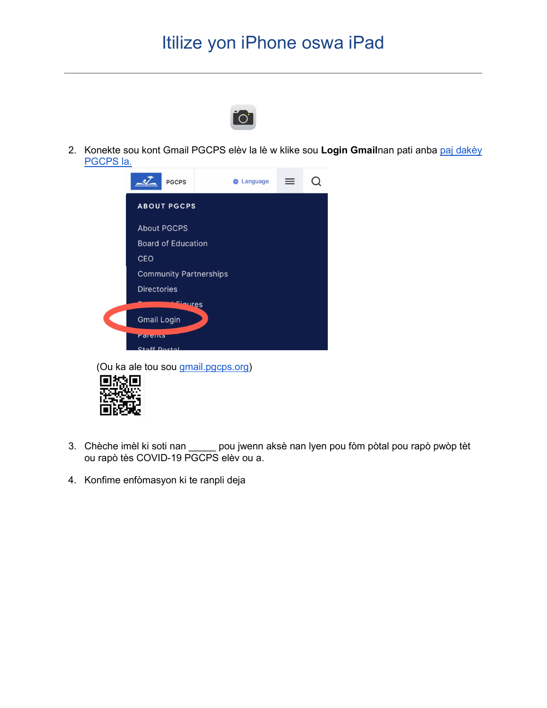## Itilize yon iPhone oswa iPad



2. Konekte sou kont Gmail PGCPS elèv la lè w klike sou **Login Gmail**nan pati anba paj dakèy PGCPS la.



(Ou ka ale tou sou gmail.pgcps.org)



- 3. Chèche imèl ki soti nan \_\_\_\_\_ pou jwenn aksè nan lyen pou fòm pòtal pou rapò pwòp tèt ou rapò tès COVID-19 PGCPS elèv ou a.
- 4. Konfime enfòmasyon ki te ranpli deja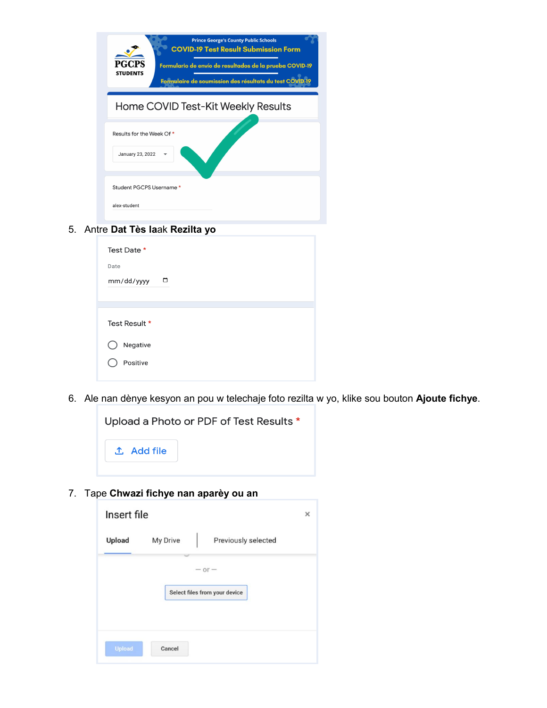| <b>Prince George's County Public Schools</b><br><b>COVID-19 Test Result Submission Form</b><br>PGCPS<br>Formulario de envío de resultados de la prueba COVID-19<br><b>STUDENTS</b><br>Formulaire de soumission des résultats du test CO\ |
|------------------------------------------------------------------------------------------------------------------------------------------------------------------------------------------------------------------------------------------|
| Home COVID Test-Kit Weekly Results                                                                                                                                                                                                       |
| Results for the Week Of *<br>January 23, 2022                                                                                                                                                                                            |
| Student PGCPS Username *<br>alex-student                                                                                                                                                                                                 |

#### 5. Antre **Dat Tès la**ak **Rezilta yo**

| Test Date *     |
|-----------------|
| Date            |
| ▭<br>mm/dd/yyyy |
|                 |
|                 |
| Test Result *   |
| Negative        |
| Positive        |
|                 |

6. Ale nan dènye kesyon an pou w telechaje foto rezilta w yo, klike sou bouton **Ajoute fichye**.



7. Tape **Chwazi fichye nan aparèy ou an**

| Insert file |          |                               | × |
|-------------|----------|-------------------------------|---|
| Upload      | My Drive | Previously selected           |   |
|             |          | $- or -$                      |   |
|             |          | Select files from your device |   |
|             |          |                               |   |
| Upload      | Cancel   |                               |   |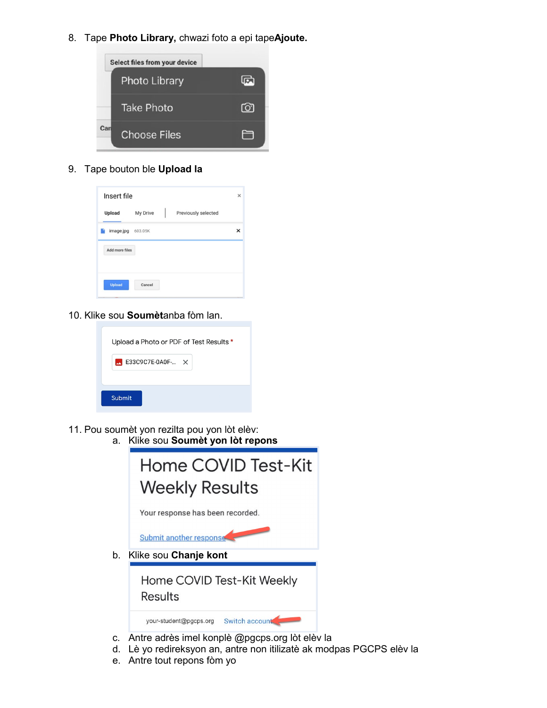8. Tape **Photo Library,** chwazi foto a epi tape**Ajoute.**



9. Tape bouton ble **Upload la**



10. Klike sou **Soumèt**anba fòm lan.

| Upload a Photo or PDF of Test Results * |
|-----------------------------------------|
| $\blacksquare$ E33C9C7E-0A0F- $\times$  |
|                                         |
| Submit                                  |
|                                         |

- 11. Pou soumèt yon rezilta pou yon lòt elèv:
	- a. Klike sou **Soumèt yon lòt repons** Home COVID Test-Kit **Weekly Results** Your response has been recorded.

Submit another response

b. Klike sou **Chanje kont**

Home COVID Test-Kit Weekly **Results** 

your-student@pgcps.org Switch account

- c. Antre adrès imel konplè @pgcps.org lòt elèv la
- d. Lè yo redireksyon an, antre non itilizatè ak modpas PGCPS elèv la
- e. Antre tout repons fòm yo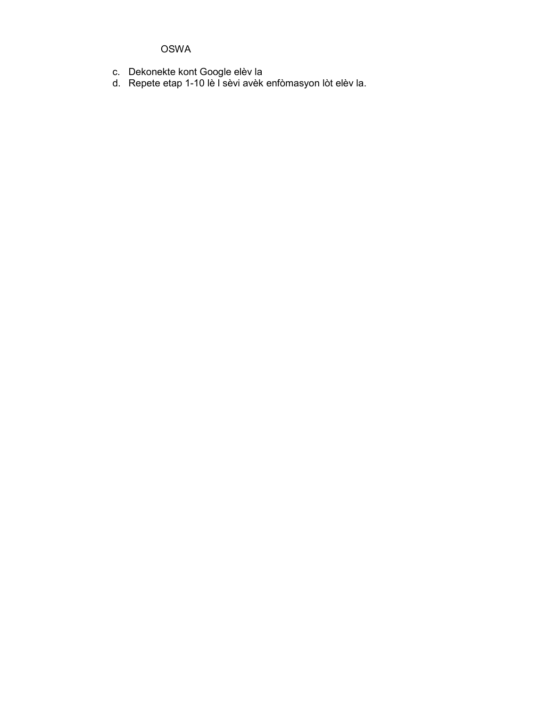#### OSWA

- c. Dekonekte kont Google elèv la
- d. Repete etap 1-10 lè l sèvi avèk enfòmasyon lòt elèv la.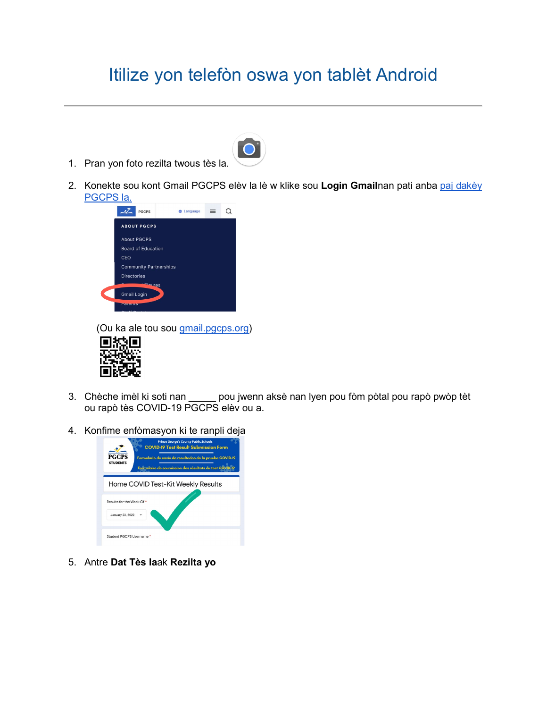## Itilize yon telefòn oswa yon tablèt Android



- 1. Pran yon foto rezilta twous tès la.
- 2. Konekte sou kont Gmail PGCPS elèv la lè w klike sou **Login Gmail**nan pati anba paj dakèy PGCPS la.



(Ou ka ale tou sou **gmail.pgcps.org)** 



- 3. Chèche imèl ki soti nan \_\_\_\_\_ pou jwenn aksè nan lyen pou fòm pòtal pou rapò pwòp tèt ou rapò tès COVID-19 PGCPS elèv ou a.
- 4. Konfime enfòmasyon ki te ranpli deja



5. Antre **Dat Tès la**ak **Rezilta yo**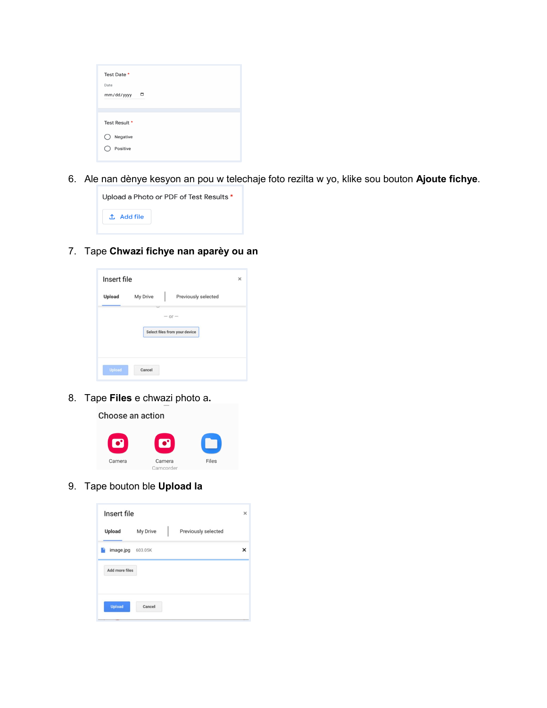| Test Date *   |   |
|---------------|---|
| Date          |   |
| mm/dd/yyyy    | □ |
|               |   |
| Test Result * |   |
| Negative      |   |
| Positive      |   |
|               |   |

6. Ale nan dènye kesyon an pou w telechaje foto rezilta w yo, klike sou bouton **Ajoute fichye**.

| Upload a Photo or PDF of Test Results * |  |  |  |  |  |
|-----------------------------------------|--|--|--|--|--|
| . <sup>↑</sup> . Add file               |  |  |  |  |  |
|                                         |  |  |  |  |  |

7. Tape **Chwazi fichye nan aparèy ou an**

| Insert file                   |                     | ×          |  |  |  |
|-------------------------------|---------------------|------------|--|--|--|
| My Drive                      | Previously selected |            |  |  |  |
|                               |                     |            |  |  |  |
| Select files from your device |                     |            |  |  |  |
|                               |                     |            |  |  |  |
| Cancel                        |                     |            |  |  |  |
|                               |                     | $-$ or $-$ |  |  |  |

8. Tape **Files** e chwazi photo a**.**

Choose an action



9. Tape bouton ble **Upload la**

| Insert file    |          |  | $\times$            |   |
|----------------|----------|--|---------------------|---|
| Upload         | My Drive |  | Previously selected |   |
| image.jpg      | 603.05K  |  |                     | × |
| Add more files |          |  |                     |   |
|                |          |  |                     |   |
| <b>Upload</b>  | Cancel   |  |                     |   |
|                |          |  |                     |   |